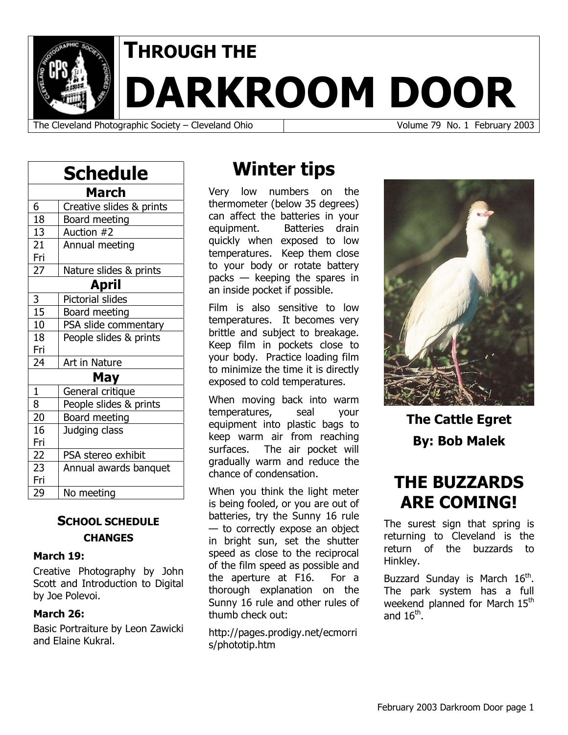

# **THROUGH THE**

**DARKROOM DOOR** 

The Cleveland Photographic Society – Cleveland Ohio Volume 79 No. 1 February 2003

| Schedule        |                          |  |
|-----------------|--------------------------|--|
| <b>March</b>    |                          |  |
| 6               | Creative slides & prints |  |
| $\overline{18}$ | <b>Board meeting</b>     |  |
| 13              | Auction #2               |  |
| 21              | Annual meeting           |  |
| Fri             |                          |  |
| $\overline{27}$ | Nature slides & prints   |  |
| <b>April</b>    |                          |  |
| 3               | <b>Pictorial slides</b>  |  |
| 15              | Board meeting            |  |
| 10              | PSA slide commentary     |  |
| 18              | People slides & prints   |  |
| Fri             |                          |  |
| 24              | Art in Nature            |  |
|                 | May                      |  |
| $\mathbf{1}$    | General critique         |  |
| $\overline{8}$  | People slides & prints   |  |
| 20              | Board meeting            |  |
| 16              | Judging class            |  |
| Fri             |                          |  |
| 22              | PSA stereo exhibit       |  |
| 23              | Annual awards banquet    |  |
| Fri             |                          |  |
| 29              | No meeting               |  |

### **SCHOOL SCHEDULE CHANGES**

#### **March 19:**

Creative Photography by John Scott and Introduction to Digital by Joe Polevoi.

#### **March 26:**

Basic Portraiture by Leon Zawicki and Elaine Kukral.

# **Winter tips**

Very low numbers on the thermometer (below 35 degrees) can affect the batteries in your equipment. Batteries drain quickly when exposed to low temperatures. Keep them close to your body or rotate battery packs — keeping the spares in an inside pocket if possible.

Film is also sensitive to low temperatures. It becomes very brittle and subject to breakage. Keep film in pockets close to your body. Practice loading film to minimize the time it is directly exposed to cold temperatures.

When moving back into warm temperatures, seal your equipment into plastic bags to keep warm air from reaching surfaces. The air pocket will gradually warm and reduce the chance of condensation.

When you think the light meter is being fooled, or you are out of batteries, try the Sunny 16 rule — to correctly expose an object in bright sun, set the shutter speed as close to the reciprocal of the film speed as possible and the aperture at F16. For a thorough explanation on the Sunny 16 rule and other rules of thumb check out:

http://pages.prodigy.net/ecmorri s/phototip.htm



**The Cattle Egret By: Bob Malek** 

# **THE BUZZARDS ARE COMING!**

The surest sign that spring is returning to Cleveland is the return of the buzzards to Hinkley.

Buzzard Sunday is March  $16^{th}$ . The park system has a full weekend planned for March 15<sup>th</sup> and  $16^{\text{th}}$ .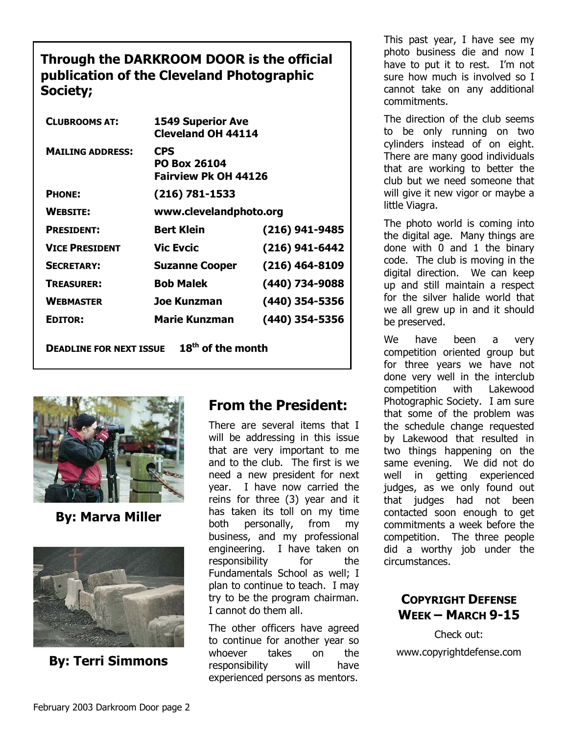### **Through the DARKROOM DOOR is the official publication of the Cleveland Photographic Society;**

| <b>CLUBROOMS AT:</b>           | <b>1549 Superior Ave</b><br><b>Cleveland OH 44114</b>            |                |
|--------------------------------|------------------------------------------------------------------|----------------|
| <b>MAILING ADDRESS:</b>        | <b>CPS</b><br><b>PO Box 26104</b><br><b>Fairview Pk OH 44126</b> |                |
| <b>PHONE:</b>                  | (216) 781-1533                                                   |                |
| <b>WEBSITE:</b>                | www.clevelandphoto.org                                           |                |
| <b>PRESIDENT:</b>              | <b>Bert Klein</b>                                                | (216) 941-9485 |
| <b>VICE PRESIDENT</b>          | <b>Vic Evcic</b>                                                 | (216) 941-6442 |
| <b>SECRETARY:</b>              | <b>Suzanne Cooper</b>                                            | (216) 464-8109 |
| <b>TREASURER:</b>              | <b>Bob Malek</b>                                                 | (440) 734-9088 |
| <b>WEBMASTER</b>               | Joe Kunzman                                                      | (440) 354-5356 |
| <b>EDITOR:</b>                 | <b>Marie Kunzman</b>                                             | (440) 354-5356 |
| <b>DEADLINE FOR NEXT ISSUE</b> | $18^{\text{th}}$ of the month                                    |                |



**By: Marva Miller** 



**By: Terri Simmons** 

## **From the President:**

There are several items that I will be addressing in this issue that are very important to me and to the club. The first is we need a new president for next year. I have now carried the reins for three (3) year and it has taken its toll on my time both personally, from my business, and my professional engineering. I have taken on responsibility for the Fundamentals School as well; I plan to continue to teach. I may try to be the program chairman. I cannot do them all.

The other officers have agreed to continue for another year so whoever takes on the responsibility will have experienced persons as mentors.

This past year, I have see my photo business die and now I have to put it to rest. I'm not sure how much is involved so I cannot take on any additional commitments.

The direction of the club seems to be only running on two cylinders instead of on eight. There are many good individuals that are working to better the club but we need someone that will give it new vigor or maybe a little Viagra.

The photo world is coming into the digital age. Many things are done with 0 and 1 the binary code. The club is moving in the digital direction. We can keep up and still maintain a respect for the silver halide world that we all grew up in and it should be preserved.

We have been a very competition oriented group but for three years we have not done very well in the interclub competition with Lakewood Photographic Society. I am sure that some of the problem was the schedule change requested by Lakewood that resulted in two things happening on the same evening. We did not do well in getting experienced judges, as we only found out that judges had not been contacted soon enough to get commitments a week before the competition. The three people did a worthy job under the circumstances.

### **COPYRIGHT DEFENSE WEEK – MARCH 9-15**

Check out: www.copyrightdefense.com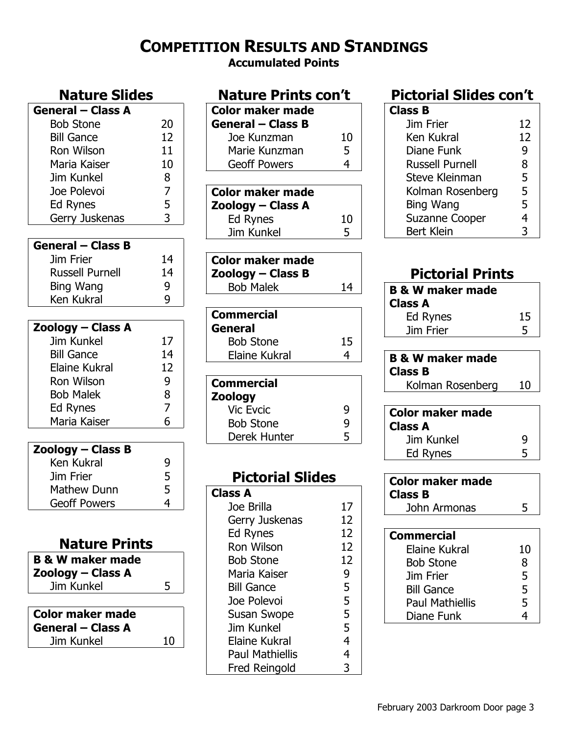## **COMPETITION RESULTS AND STANDINGS**

**Accumulated Points** 

### **Nature Slides General – Class A**  Bob Stone 20 Bill Gance 12 Ron Wilson 11 Maria Kaiser 10 Jim Kunkel 8 Joe Polevoi 7 Ed Rynes 5 Gerry Juskenas 3 **General – Class B**  Jim Frier 14 Russell Purnell 14 Bing Wang 9 Ken Kukral 9 **Zoology – Class A**  Jim Kunkel 17 Bill Gance 14 Elaine Kukral 12 Ron Wilson 9 Bob Malek 8 Ed Rynes 7 Maria Kaiser 6 **Zoology – Class B**  Ken Kukral 9 Jim Frier 5 Mathew Dunn 5 Geoff Powers 4 **Nature Prints B & W maker made Zoology – Class A**  Jim Kunkel 5

| <b>Color maker made</b><br><b>General – Class A</b> |    |
|-----------------------------------------------------|----|
| Jim Kunkel                                          | 10 |

| <b>Nature Prints con't</b>                                                                                                                                                                                                                     |                                                             |
|------------------------------------------------------------------------------------------------------------------------------------------------------------------------------------------------------------------------------------------------|-------------------------------------------------------------|
| <b>Color maker made</b>                                                                                                                                                                                                                        |                                                             |
| <b>General - Class B</b>                                                                                                                                                                                                                       |                                                             |
| Joe Kunzman                                                                                                                                                                                                                                    | 10                                                          |
| Marie Kunzman                                                                                                                                                                                                                                  | 5                                                           |
| <b>Geoff Powers</b>                                                                                                                                                                                                                            | 4                                                           |
|                                                                                                                                                                                                                                                |                                                             |
| <b>Color maker made</b>                                                                                                                                                                                                                        |                                                             |
| Zoology – Class A                                                                                                                                                                                                                              |                                                             |
| <b>Ed Rynes</b>                                                                                                                                                                                                                                | 10                                                          |
| Jim Kunkel                                                                                                                                                                                                                                     | 5                                                           |
|                                                                                                                                                                                                                                                |                                                             |
| <b>Color maker made</b>                                                                                                                                                                                                                        |                                                             |
| Zoology - Class B                                                                                                                                                                                                                              |                                                             |
|                                                                                                                                                                                                                                                |                                                             |
|                                                                                                                                                                                                                                                |                                                             |
|                                                                                                                                                                                                                                                |                                                             |
|                                                                                                                                                                                                                                                |                                                             |
|                                                                                                                                                                                                                                                |                                                             |
|                                                                                                                                                                                                                                                |                                                             |
|                                                                                                                                                                                                                                                |                                                             |
|                                                                                                                                                                                                                                                |                                                             |
|                                                                                                                                                                                                                                                |                                                             |
|                                                                                                                                                                                                                                                |                                                             |
|                                                                                                                                                                                                                                                |                                                             |
|                                                                                                                                                                                                                                                |                                                             |
|                                                                                                                                                                                                                                                |                                                             |
| <b>Pictorial Slides</b>                                                                                                                                                                                                                        |                                                             |
| Class A                                                                                                                                                                                                                                        |                                                             |
| Joe Brilla                                                                                                                                                                                                                                     | 17                                                          |
| Gerry Juskenas                                                                                                                                                                                                                                 |                                                             |
| Ed Rynes                                                                                                                                                                                                                                       | 12                                                          |
| <b>Ron Wilson</b>                                                                                                                                                                                                                              | 12                                                          |
| <b>Bob Stone</b>                                                                                                                                                                                                                               | 12                                                          |
| Maria Kaiser                                                                                                                                                                                                                                   | 9                                                           |
| <b>Bill Gance</b>                                                                                                                                                                                                                              |                                                             |
| Joe Polevoi                                                                                                                                                                                                                                    |                                                             |
|                                                                                                                                                                                                                                                |                                                             |
| Jim Kunkel                                                                                                                                                                                                                                     |                                                             |
|                                                                                                                                                                                                                                                |                                                             |
|                                                                                                                                                                                                                                                | 4                                                           |
| <b>Bob Malek</b><br><b>Commercial</b><br>General<br><b>Bob Stone</b><br><b>Elaine Kukral</b><br><b>Commercial</b><br>Zoology<br><b>Vic Evcic</b><br><b>Bob Stone</b><br>Derek Hunter<br>Susan Swope<br>Elaine Kukral<br><b>Paul Mathiellis</b> | 14<br>15<br>4<br>9<br>9<br>5<br>12<br>5<br>5<br>5<br>5<br>4 |

Fred Reingold 3

## **Pictorial Slides con't**

| Class B                |    |
|------------------------|----|
| Jim Frier              | 12 |
| Ken Kukral             | 12 |
| Diane Funk             | 9  |
| <b>Russell Purnell</b> | 8  |
| Steve Kleinman         | 5  |
| Kolman Rosenberg       | 5  |
| Bing Wang              | 5  |
| <b>Suzanne Cooper</b>  | 4  |
| <b>Bert Klein</b>      | 3  |

## **Pictorial Prints**

| <b>B &amp; W maker made</b><br><b>Class A</b> |    |
|-----------------------------------------------|----|
| Ed Rynes                                      | 15 |
| Jim Frier                                     | 5  |
|                                               |    |

| <b>B &amp; W maker made</b> |    |
|-----------------------------|----|
| <b>Class B</b>              |    |
| Kolman Rosenberg            | 10 |
|                             |    |

| Color maker made<br><b>Class A</b> |   |
|------------------------------------|---|
| Jim Kunkel                         | q |
| Ed Rynes                           |   |

| <b>Color maker made</b><br><b>Class B</b> |    |
|-------------------------------------------|----|
| John Armonas                              | 5  |
|                                           |    |
| <b>Commercial</b>                         |    |
| Elaine Kukral                             | 10 |
| <b>Bob Stone</b>                          | 8  |
| Jim Frier                                 | 5  |
| <b>Bill Gance</b>                         | 5  |
| <b>Paul Mathiellis</b>                    | 5  |
| Diane Funk                                |    |